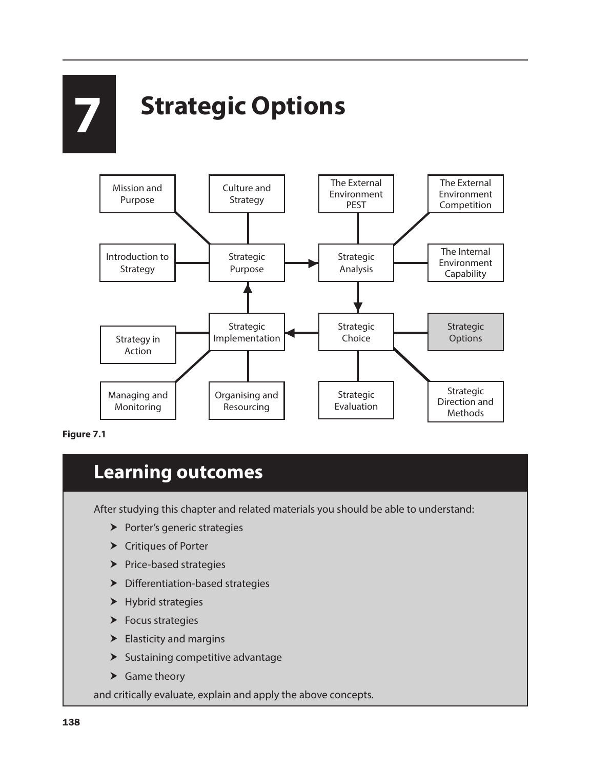# **7 Strategic Options**



**Figure 7.1**

## **Learning outcomes**

After studying this chapter and related materials you should be able to understand:

- $\blacktriangleright$  Porter's generic strategies
- $\blacktriangleright$  Critiques of Porter
- $\blacktriangleright$  Price-based strategies
- $\blacktriangleright$  Differentiation-based strategies
- $\blacktriangleright$  Hybrid strategies
- $\blacktriangleright$  Focus strategies
- $\blacktriangleright$  Elasticity and margins
- $\blacktriangleright$  Sustaining competitive advantage
- $\blacktriangleright$  Game theory

and critically evaluate, explain and apply the above concepts.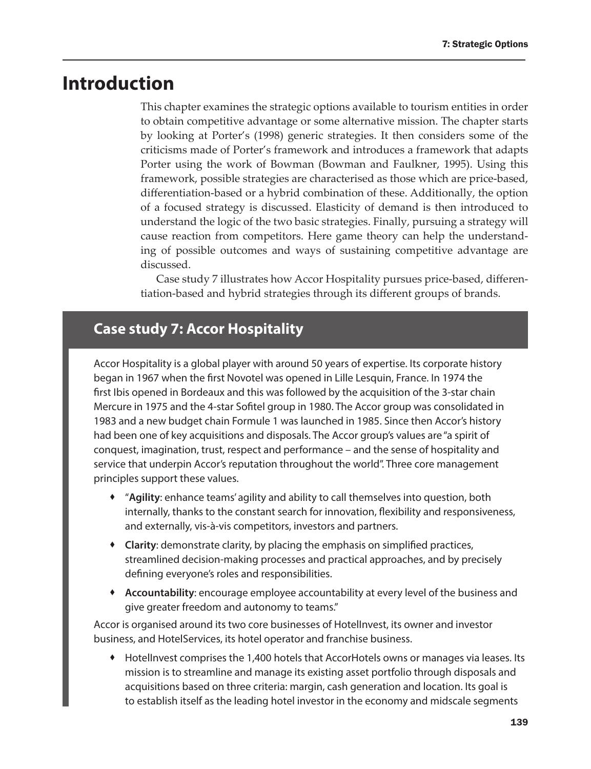## **Introduction**

This chapter examines the strategic options available to tourism entities in order to obtain competitive advantage or some alternative mission. The chapter starts by looking at Porter's (1998) generic strategies. It then considers some of the criticisms made of Porter's framework and introduces a framework that adapts Porter using the work of Bowman (Bowman and Faulkner, 1995). Using this framework, possible strategies are characterised as those which are price-based, differentiation-based or a hybrid combination of these. Additionally, the option of a focused strategy is discussed. Elasticity of demand is then introduced to understand the logic of the two basic strategies. Finally, pursuing a strategy will cause reaction from competitors. Here game theory can help the understanding of possible outcomes and ways of sustaining competitive advantage are discussed.

Case study 7 illustrates how Accor Hospitality pursues price-based, differentiation-based and hybrid strategies through its different groups of brands.

### **Case study 7: Accor Hospitality**

Accor Hospitality is a global player with around 50 years of expertise. Its corporate history began in 1967 when the first Novotel was opened in Lille Lesquin, France. In 1974 the first Ibis opened in Bordeaux and this was followed by the acquisition of the 3-star chain Mercure in 1975 and the 4-star Sofitel group in 1980. The Accor group was consolidated in 1983 and a new budget chain Formule 1 was launched in 1985. Since then Accor's history had been one of key acquisitions and disposals. The Accor group's values are "a spirit of conquest, imagination, trust, respect and performance – and the sense of hospitality and service that underpin Accor's reputation throughout the world". Three core management principles support these values.

- "**Agility**: enhance teams' agility and ability to call themselves into question, both internally, thanks to the constant search for innovation, flexibility and responsiveness, and externally, vis-à-vis competitors, investors and partners.
- **Clarity**: demonstrate clarity, by placing the emphasis on simplified practices, streamlined decision-making processes and practical approaches, and by precisely defining everyone's roles and responsibilities.
- **Accountability**: encourage employee accountability at every level of the business and give greater freedom and autonomy to teams."

Accor is organised around its two core businesses of HotelInvest, its owner and investor business, and HotelServices, its hotel operator and franchise business.

 HotelInvest comprises the 1,400 hotels that AccorHotels owns or manages via leases. Its mission is to streamline and manage its existing asset portfolio through disposals and acquisitions based on three criteria: margin, cash generation and location. Its goal is to establish itself as the leading hotel investor in the economy and midscale segments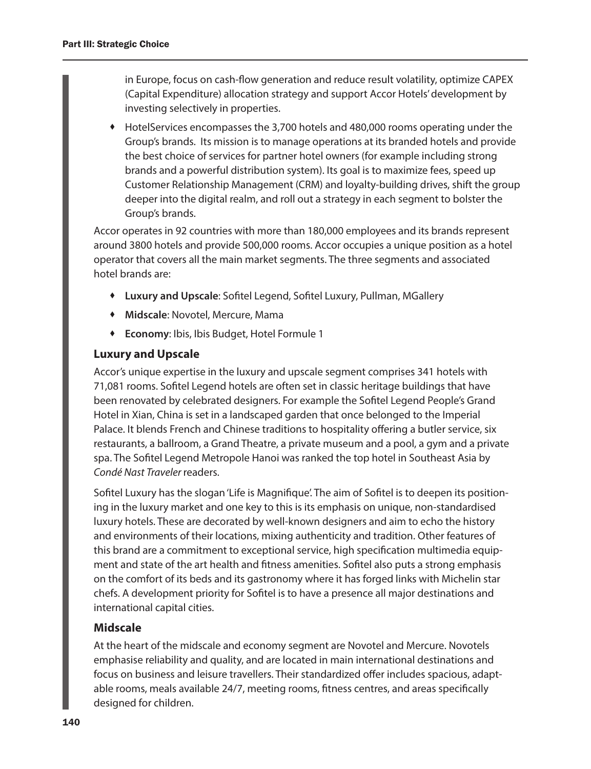in Europe, focus on cash-flow generation and reduce result volatility, optimize CAPEX (Capital Expenditure) allocation strategy and support Accor Hotels' development by investing selectively in properties.

 HotelServices encompasses the 3,700 hotels and 480,000 rooms operating under the Group's brands. Its mission is to manage operations at its branded hotels and provide the best choice of services for partner hotel owners (for example including strong brands and a powerful distribution system). Its goal is to maximize fees, speed up Customer Relationship Management (CRM) and loyalty-building drives, shift the group deeper into the digital realm, and roll out a strategy in each segment to bolster the Group's brands.

Accor operates in 92 countries with more than 180,000 employees and its brands represent around 3800 hotels and provide 500,000 rooms. Accor occupies a unique position as a hotel operator that covers all the main market segments. The three segments and associated hotel brands are:

- **Luxury and Upscale**: Sofitel Legend, Sofitel Luxury, Pullman, MGallery
- **Midscale**: Novotel, Mercure, Mama
- **Economy**: Ibis, Ibis Budget, Hotel Formule 1

#### **Luxury and Upscale**

Accor's unique expertise in the luxury and upscale segment comprises 341 hotels with 71,081 rooms. Sofitel Legend hotels are often set in classic heritage buildings that have been renovated by celebrated designers. For example the Sofitel Legend People's Grand Hotel in Xian, China is set in a landscaped garden that once belonged to the Imperial Palace. It blends French and Chinese traditions to hospitality offering a butler service, six restaurants, a ballroom, a Grand Theatre, a private museum and a pool, a gym and a private spa. The Sofitel Legend Metropole Hanoi was ranked the top hotel in Southeast Asia by *Condé Nast Traveler* readers.

Sofitel Luxury has the slogan 'Life is Magnifique'. The aim of Sofitel is to deepen its positioning in the luxury market and one key to this is its emphasis on unique, non-standardised luxury hotels. These are decorated by well-known designers and aim to echo the history and environments of their locations, mixing authenticity and tradition. Other features of this brand are a commitment to exceptional service, high specification multimedia equipment and state of the art health and fitness amenities. Sofitel also puts a strong emphasis on the comfort of its beds and its gastronomy where it has forged links with Michelin star chefs. A development priority for Sofitel is to have a presence all major destinations and international capital cities.

#### **Midscale**

At the heart of the midscale and economy segment are Novotel and Mercure. Novotels emphasise reliability and quality, and are located in main international destinations and focus on business and leisure travellers. Their standardized offer includes spacious, adaptable rooms, meals available 24/7, meeting rooms, fitness centres, and areas specifically designed for children.